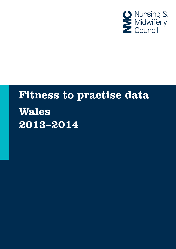

# **Fitness to practise data Wales** 2013-2014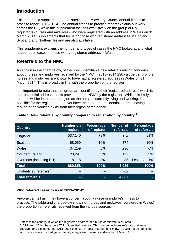## **Introduction**

This report is a supplement to the Nursing and Midwifery Council annual fitness to practise report 2013–2014. The annual fitness to practise report explains our work across the UK, while this supplement focuses exclusively on the group of NMC registrants (nurses and midwives) who were registered with an address in Wales on 31 March 2014. Supplements that focus on those with registered addresses in England, Scotland and Northern Ireland are also available.

This supplement explains the number and types of cases the NMC looked at and what happened in cases of those with a registered address in Wales.

## **Referrals to the NMC**

As shown in the chart below, of the 3,925 identifiable new referrals raising concerns about nurses and midwives received by the NMC in 2013–2014 230 (six percent) of the nurses and midwives are known to have had a registered address in Wales on 31 March 2014. This is broadly in line with the proportion on the register.

It is important to note that this group are identified by their 'registered address' which is the residential address that is provided to the NMC by the registrant. While it is likely that this will be in the same region as the nurse is currently living and working, it is possible for the registrant to not yet have their updated residential address having moved or be working away from their region of residence.

| <b>Country</b>                      | <b>Number on</b><br>register | <b>Percentage</b><br>of register | <b>Number of</b><br>referrals | <b>Percentage</b><br>of referrals |
|-------------------------------------|------------------------------|----------------------------------|-------------------------------|-----------------------------------|
| England                             | 537,140                      | 79%                              | 3,164                         | 81%                               |
| Scotland                            | 68,050                       | 10%                              | 374                           | 10%                               |
| Wales                               | 34,259                       | 5%                               | 230                           | 6%                                |
| Northern Ireland                    | 23,291                       | 3%                               | 122                           | 3%                                |
| Overseas (including EU)             | 18,118                       | 3%                               | 35                            | Less than 1%                      |
| <b>Total</b>                        | 680,858                      | 100%                             | 3,925                         | 100%                              |
| Unidentified referrals <sup>2</sup> |                              |                                  | 762                           |                                   |
| <b>Total referrals</b>              | $\overline{\phantom{a}}$     | -                                | 4,687                         |                                   |

## **Table 1: New referrals by country compared to registration by country [1](#page-1-0)**

## **Who referred cases to us in 2013–2014?**

Anyone can tell us if they have a concern about a nurse or midwife's fitness to practise. The table and chart below show (for nurses and midwives registered in Wales) the proportion of referrals received from the various sources.

<span id="page-1-0"></span> $\frac{1}{1}$ Refers to the country in which the registered address of a nurse or midwife is situated. <sup>2</sup>

<span id="page-1-1"></span>At 31 March 2014, there were 762 unidentified referrals. This number includes referrals that were received and closed during 2013–2014 because a registered nurse or midwife could not be identified and cases where we had yet to identify a registered nurse or midwife by 31 March 2014.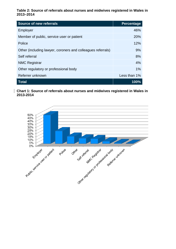**Table 2: Source of referrals about nurses and midwives registered in Wales in 2013–2014**

| <b>Source of new referrals</b>                              | <b>Percentage</b> |
|-------------------------------------------------------------|-------------------|
| Employer                                                    | 46%               |
| Member of public, service user or patient                   | 20%               |
| Police                                                      | 12%               |
| Other (including lawyer, coroners and colleagues referrals) | 9%                |
| Self referral                                               | 8%                |
| <b>NMC Registrar</b>                                        | 4%                |
| Other regulatory or professional body                       | $1\%$             |
| Referrer unknown                                            | Less than 1%      |
| <b>Total</b>                                                | 100%              |

**Chart 1: Source of referrals about nurses and midwives registered in Wales in 2013-2014**

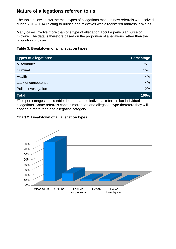## **Nature of allegations referred to us**

The table below shows the main types of allegations made in new referrals we received during 2013–2014 relating to nurses and midwives with a registered address in Wales.

Many cases involve more than one type of allegation about a particular nurse or midwife. The data is therefore based on the proportion of allegations rather than the proportion of cases.

| Table 3: Breakdown of all allegation types |  |  |  |  |
|--------------------------------------------|--|--|--|--|
|--------------------------------------------|--|--|--|--|

| <b>Types of allegations*</b> | <b>Percentage</b> |
|------------------------------|-------------------|
| Misconduct                   | 75%               |
| Criminal                     | 15%               |
| Health                       | 4%                |
| Lack of competence           | 4%                |
| Police investigation         | 2%                |
| <b>Total</b>                 | 100%              |

\*The percentages in this table do not relate to individual referrals but individual allegations. Some referrals contain more than one allegation type therefore they will appear in more than one allegation category.



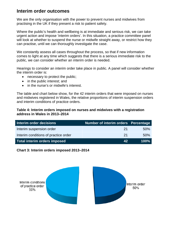## **Interim order outcomes**

We are the only organisation with the power to prevent nurses and midwives from practising in the UK if they present a risk to patient safety.

Where the public's health and wellbeing is at immediate and serious risk, we can take urgent action and impose 'interim orders'. In this situation, a practice committee panel will look at whether to suspend the nurse or midwife straight away, or restrict how they can practise, until we can thoroughly investigate the case.

We constantly assess all cases throughout the process, so that if new information comes to light at any time which suggests that there is a serious immediate risk to the public, we can consider whether an interim order is needed.

Hearings to consider an interim order take place in public. A panel will consider whether the interim order is:

- necessary to protect the public;
- in the public interest: and
- in the nurse's or midwife's interest.

The table and chart below show, for the 42 interim orders that were imposed on nurses and midwives registered in Wales, the relative proportions of interim suspension orders and interim conditions of practice orders.

#### **Table 4: Interim orders imposed on nurses and midwives with a registration address in Wales in 2013–2014**

| Interim order decisions              | Number of interim orders Percentage |      |
|--------------------------------------|-------------------------------------|------|
| Interim suspension order             | -21                                 | .50% |
| Interim conditions of practice order | -21                                 | .50% |
| Total interim orders imposed         | 42                                  | 100% |

#### **Chart 3: Interim orders imposed 2013–2014**

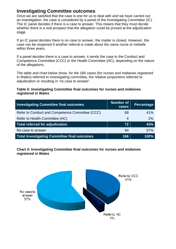## **Investigating Committee outcomes**

Once we are satisfied that the case is one for us to deal with and we have carried out an investigation, the case is considered by a panel of the Investigating Committee (IC). The IC panel decides if there is a case to answer. This means that they must decide whether there is a real prospect that the allegation could be proved at the adjudication stage.

If an IC panel decides there is no case to answer, the matter is closed. However, the case can be reopened if another referral is made about the same nurse or midwife within three years.

If a panel decides there is a case to answer, it sends the case to the Conduct and Competence Committee (CCC) or the Health Committee (HC), depending on the nature of the allegations.

The table and chart below show, for the 166 cases (for nurses and midwives registered in Wales) referred to investigating committee, the relative proportions referred to adjudication or resulting in 'no case to answer'.

#### **Table 5: Investigating Committee final outcomes for nurses and midwives registered in Wales**

| <b>Investigating Committee final outcomes</b>       | Number of<br>cases | Percentage |
|-----------------------------------------------------|--------------------|------------|
| Refer to Conduct and Competence Committee (CCC)     | 68                 | 41%        |
| Refer to Health Committee (HC)                      | 4                  | 2%         |
| <b>Total referred for adjudication</b>              | 72                 | 43%        |
| No case to answer                                   | 94                 | 57%        |
| <b>Total Investigating Committee final outcomes</b> | 166                | 100%       |

**Chart 4: Investigating Committee final outcomes for nurses and midwives registered in Wales**

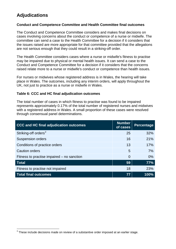# **Adjudications**

#### **Conduct and Competence Committee and Health Committee final outcomes**

The Conduct and Competence Committee considers and makes final decisions on cases involving concerns about the conduct or competence of a nurse or midwife. The committee can send a case to the Health Committee for a decision if it considers that the issues raised are more appropriate for that committee provided that the allegations are not serious enough that they could result in a striking-off order.

The Health Committee considers cases where a nurse or midwife's fitness to practise may be impaired due to physical or mental health issues. It can send a case to the Conduct and Competence Committee for a decision if it considers that the concerns raised relate more to a nurse or midwife's conduct or competence than health issues.

For nurses or midwives whose registered address is in Wales, the hearing will take place in Wales. The outcomes, including any interim orders, will apply throughout the UK, not just to practice as a nurse or midwife in Wales.

#### **Table 6: CCC and HC final adjudication outcomes**

The total number of cases in which fitness to practise was found to be impaired represents approximately 0.17% of the total number of registered nurses and midwives with a registered address in Wales. A small proportion of these cases were resolved through consensual panel determinations.

| <b>CCC and HC final adjudication outcomes</b> | <b>Number</b><br>of cases | Percentage |
|-----------------------------------------------|---------------------------|------------|
| Striking-off orders <sup>3</sup>              | 25                        | 32%        |
| <b>Suspension orders</b>                      | 16                        | 21%        |
| Conditions of practice orders                 | 13                        | 17%        |
| <b>Caution orders</b>                         | 5                         | 7%         |
| Fitness to practise impaired – no sanction    | $\Omega$                  | 0%         |
| <b>Total</b>                                  | 59                        | 77%        |
| Fitness to practise not impaired              | 18                        | 23%        |
| <b>Total final outcomes</b>                   | 77                        | $ 100\% $  |

<span id="page-6-0"></span> $3$  These include decisions made on review of a substantive order imposed at an earlier stage.